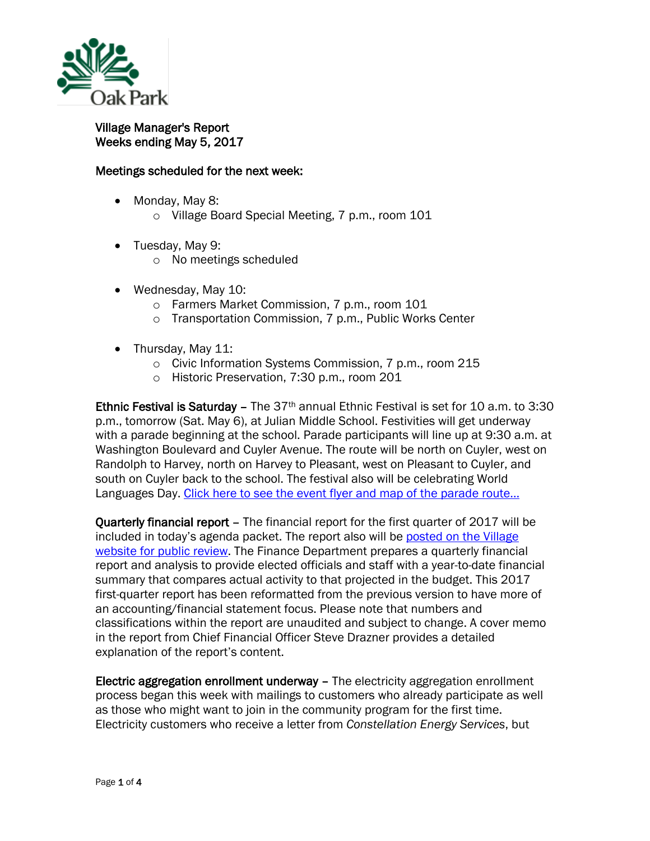

## Village Manager's Report Weeks ending May 5, 2017

## Meetings scheduled for the next week:

- Monday, May 8:
	- o Village Board Special Meeting, 7 p.m., room 101
- Tuesday, May 9:
	- o No meetings scheduled
- Wednesday, May 10:
	- o Farmers Market Commission, 7 p.m., room 101
	- o Transportation Commission, 7 p.m., Public Works Center
- Thursday, May 11:
	- o Civic Information Systems Commission, 7 p.m., room 215
	- o Historic Preservation, 7:30 p.m., room 201

Ethnic Festival is Saturday – The  $37<sup>th</sup>$  annual Ethnic Festival is set for 10 a.m. to 3:30 p.m., tomorrow (Sat. May 6), at Julian Middle School. Festivities will get underway with a parade beginning at the school. Parade participants will line up at 9:30 a.m. at Washington Boulevard and Cuyler Avenue. The route will be north on Cuyler, west on Randolph to Harvey, north on Harvey to Pleasant, west on Pleasant to Cuyler, and south on Cuyler back to the school. The festival also will be celebrating World Languages Day. [Click here to see the event flyer and map of the parade route…](http://www.oak-park.us/sites/default/files/456678891/2017_ethnic_festival_flyer-parade-route.pdf)

Quarterly financial report – The financial report for the first quarter of 2017 will be included in today's agenda packet. The report also will be [posted on the Village](http://www.oak-park.us/your-government/budget-purchasing/financial-reports)  [website for public review.](http://www.oak-park.us/your-government/budget-purchasing/financial-reports) The Finance Department prepares a quarterly financial report and analysis to provide elected officials and staff with a year-to-date financial summary that compares actual activity to that projected in the budget. This 2017 first-quarter report has been reformatted from the previous version to have more of an accounting/financial statement focus. Please note that numbers and classifications within the report are unaudited and subject to change. A cover memo in the report from Chief Financial Officer Steve Drazner provides a detailed explanation of the report's content.

Electric aggregation enrollment underway – The electricity aggregation enrollment process began this week with mailings to customers who already participate as well as those who might want to join in the community program for the first time. Electricity customers who receive a letter from *Constellation Energy Services*, but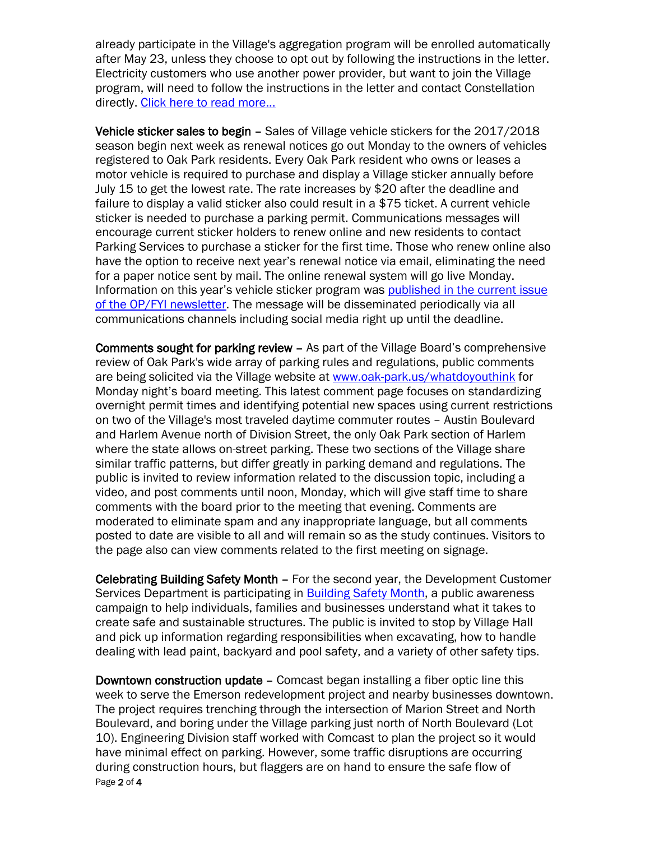already participate in the Village's aggregation program will be enrolled automatically after May 23, unless they choose to opt out by following the instructions in the letter. Electricity customers who use another power provider, but want to join the Village program, will need to follow the instructions in the letter and contact Constellation directly. [Click here to read more...](http://www.oak-park.us/news)

Vehicle sticker sales to begin – Sales of Village vehicle stickers for the 2017/2018 season begin next week as renewal notices go out Monday to the owners of vehicles registered to Oak Park residents. Every Oak Park resident who owns or leases a motor vehicle is required to purchase and display a Village sticker annually before July 15 to get the lowest rate. The rate increases by \$20 after the deadline and failure to display a valid sticker also could result in a \$75 ticket. A current vehicle sticker is needed to purchase a parking permit. Communications messages will encourage current sticker holders to renew online and new residents to contact Parking Services to purchase a sticker for the first time. Those who renew online also have the option to receive next year's renewal notice via email, eliminating the need for a paper notice sent by mail. The online renewal system will go live Monday. Information on this year's vehicle sticker program was [published in the current issue](http://www.oak-park.us/newsletters/may-2017/vehicle-sticker-sales-begin-month)  [of the OP/FYI newsletter.](http://www.oak-park.us/newsletters/may-2017/vehicle-sticker-sales-begin-month) The message will be disseminated periodically via all communications channels including social media right up until the deadline.

Comments sought for parking review – As part of the Village Board's comprehensive review of Oak Park's wide array of parking rules and regulations, public comments are being solicited via the Village website at [www.oak-park.us/whatdoyouthink](http://www.oak-park.us/whatdoyouthink) for Monday night's board meeting. This latest comment page focuses on standardizing overnight permit times and identifying potential new spaces using current restrictions on two of the Village's most traveled daytime commuter routes – Austin Boulevard and Harlem Avenue north of Division Street, the only Oak Park section of Harlem where the state allows on-street parking. These two sections of the Village share similar traffic patterns, but differ greatly in parking demand and regulations. The public is invited to review information related to the discussion topic, including a video, and post comments until noon, Monday, which will give staff time to share comments with the board prior to the meeting that evening. Comments are moderated to eliminate spam and any inappropriate language, but all comments posted to date are visible to all and will remain so as the study continues. Visitors to the page also can view comments related to the first meeting on signage.

Celebrating Building Safety Month – For the second year, the Development Customer Services Department is participating in **Building Safety Month**, a public awareness campaign to help individuals, families and businesses understand what it takes to create safe and sustainable structures. The public is invited to stop by Village Hall and pick up information regarding responsibilities when excavating, how to handle dealing with lead paint, backyard and pool safety, and a variety of other safety tips.

Page 2 of 4 Downtown construction update – Comcast began installing a fiber optic line this week to serve the Emerson redevelopment project and nearby businesses downtown. The project requires trenching through the intersection of Marion Street and North Boulevard, and boring under the Village parking just north of North Boulevard (Lot 10). Engineering Division staff worked with Comcast to plan the project so it would have minimal effect on parking. However, some traffic disruptions are occurring during construction hours, but flaggers are on hand to ensure the safe flow of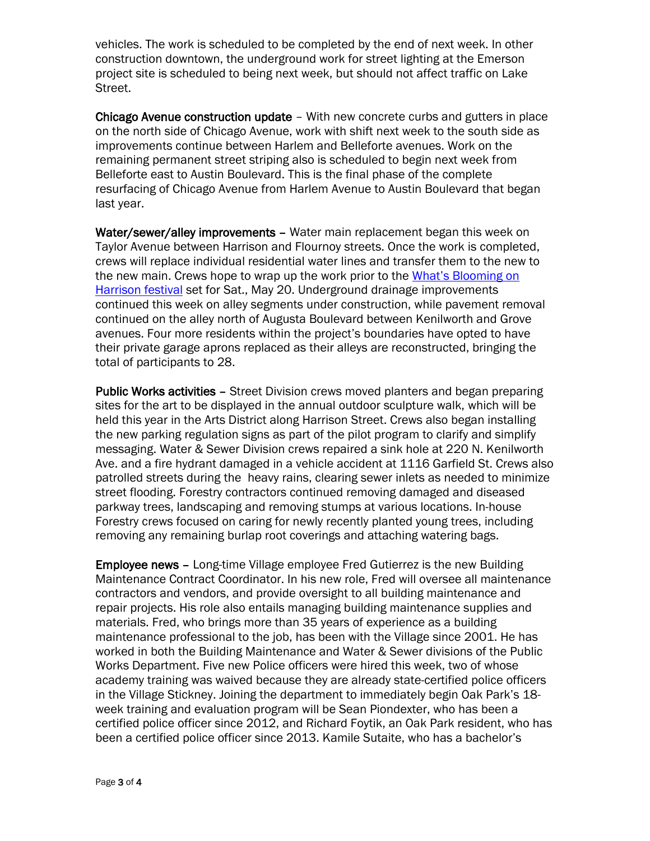vehicles. The work is scheduled to be completed by the end of next week. In other construction downtown, the underground work for street lighting at the Emerson project site is scheduled to being next week, but should not affect traffic on Lake Street.

Chicago Avenue construction update – With new concrete curbs and gutters in place on the north side of Chicago Avenue, work with shift next week to the south side as improvements continue between Harlem and Belleforte avenues. Work on the remaining permanent street striping also is scheduled to begin next week from Belleforte east to Austin Boulevard. This is the final phase of the complete resurfacing of Chicago Avenue from Harlem Avenue to Austin Boulevard that began last year.

Water/sewer/alley improvements - Water main replacement began this week on Taylor Avenue between Harrison and Flournoy streets. Once the work is completed, crews will replace individual residential water lines and transfer them to the new to the new main. Crews hope to wrap up the work prior to the [What's Blooming on](http://oakparkartsdistrict.com/street-events/whats-blooming-on-harrison/)  [Harrison](http://oakparkartsdistrict.com/street-events/whats-blooming-on-harrison/) festival set for Sat., May 20. Underground drainage improvements continued this week on alley segments under construction, while pavement removal continued on the alley north of Augusta Boulevard between Kenilworth and Grove avenues. Four more residents within the project's boundaries have opted to have their private garage aprons replaced as their alleys are reconstructed, bringing the total of participants to 28.

Public Works activities - Street Division crews moved planters and began preparing sites for the art to be displayed in the annual outdoor sculpture walk, which will be held this year in the Arts District along Harrison Street. Crews also began installing the new parking regulation signs as part of the pilot program to clarify and simplify messaging. Water & Sewer Division crews repaired a sink hole at 220 N. Kenilworth Ave. and a fire hydrant damaged in a vehicle accident at 1116 Garfield St. Crews also patrolled streets during the heavy rains, clearing sewer inlets as needed to minimize street flooding. Forestry contractors continued removing damaged and diseased parkway trees, landscaping and removing stumps at various locations. In-house Forestry crews focused on caring for newly recently planted young trees, including removing any remaining burlap root coverings and attaching watering bags.

Employee news – Long-time Village employee Fred Gutierrez is the new Building Maintenance Contract Coordinator. In his new role, Fred will oversee all maintenance contractors and vendors, and provide oversight to all building maintenance and repair projects. His role also entails managing building maintenance supplies and materials. Fred, who brings more than 35 years of experience as a building maintenance professional to the job, has been with the Village since 2001. He has worked in both the Building Maintenance and Water & Sewer divisions of the Public Works Department. Five new Police officers were hired this week, two of whose academy training was waived because they are already state-certified police officers in the Village Stickney. Joining the department to immediately begin Oak Park's 18 week training and evaluation program will be Sean Piondexter, who has been a certified police officer since 2012, and Richard Foytik, an Oak Park resident, who has been a certified police officer since 2013. Kamile Sutaite, who has a bachelor's